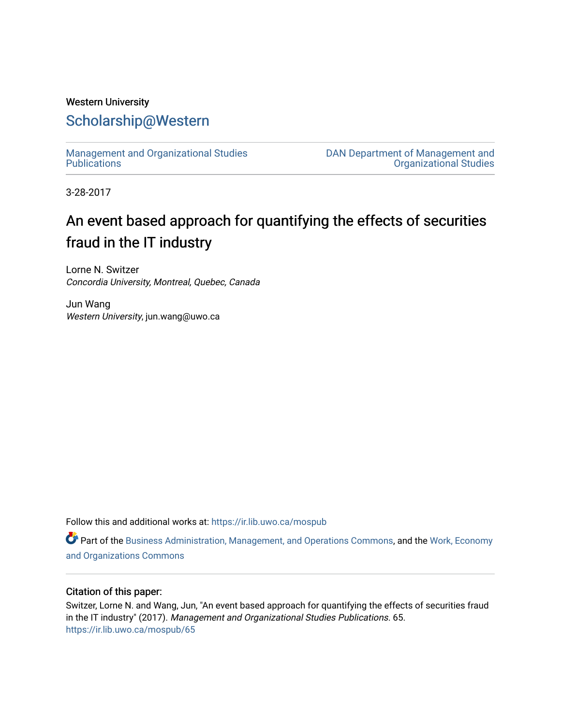# Western University [Scholarship@Western](https://ir.lib.uwo.ca/)

[Management and Organizational Studies](https://ir.lib.uwo.ca/mospub)  **Publications** 

[DAN Department of Management and](https://ir.lib.uwo.ca/mos)  [Organizational Studies](https://ir.lib.uwo.ca/mos) 

3-28-2017

# An event based approach for quantifying the effects of securities fraud in the IT industry

Lorne N. Switzer Concordia University, Montreal, Quebec, Canada

Jun Wang Western University, jun.wang@uwo.ca

Follow this and additional works at: [https://ir.lib.uwo.ca/mospub](https://ir.lib.uwo.ca/mospub?utm_source=ir.lib.uwo.ca%2Fmospub%2F65&utm_medium=PDF&utm_campaign=PDFCoverPages) 

Part of the [Business Administration, Management, and Operations Commons](http://network.bepress.com/hgg/discipline/623?utm_source=ir.lib.uwo.ca%2Fmospub%2F65&utm_medium=PDF&utm_campaign=PDFCoverPages), and the [Work, Economy](http://network.bepress.com/hgg/discipline/433?utm_source=ir.lib.uwo.ca%2Fmospub%2F65&utm_medium=PDF&utm_campaign=PDFCoverPages)  [and Organizations Commons](http://network.bepress.com/hgg/discipline/433?utm_source=ir.lib.uwo.ca%2Fmospub%2F65&utm_medium=PDF&utm_campaign=PDFCoverPages)

## Citation of this paper:

Switzer, Lorne N. and Wang, Jun, "An event based approach for quantifying the effects of securities fraud in the IT industry" (2017). Management and Organizational Studies Publications. 65. [https://ir.lib.uwo.ca/mospub/65](https://ir.lib.uwo.ca/mospub/65?utm_source=ir.lib.uwo.ca%2Fmospub%2F65&utm_medium=PDF&utm_campaign=PDFCoverPages)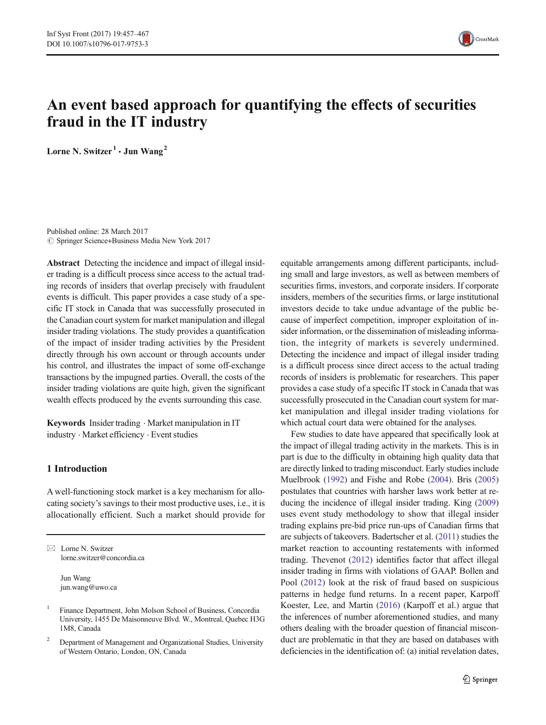

# An event based approach for quantifying the effects of securities fraud in the IT industry

Lorne N. Switzer<sup>1</sup>  $\cdot$  Jun Wang<sup>2</sup>

Published online: 28 March 2017  $\circled{c}$  Springer Science+Business Media New York 2017

Abstract Detecting the incidence and impact of illegal insider trading is a difficult process since access to the actual trading records of insiders that overlap precisely with fraudulent events is difficult. This paper provides a case study of a specific IT stock in Canada that was successfully prosecuted in the Canadian court system for market manipulation and illegal insider trading violations. The study provides a quantification of the impact of insider trading activities by the President directly through his own account or through accounts under his control, and illustrates the impact of some off-exchange transactions by the impugned parties. Overall, the costs of the insider trading violations are quite high, given the significant wealth effects produced by the events surrounding this case.

Keywords Insider trading . Market manipulation in IT industry . Market efficiency . Event studies

#### 1 Introduction

A well-functioning stock market is a key mechanism for allocating society's savings to their most productive uses, i.e., it is allocationally efficient. Such a market should provide for

 $\boxtimes$  Lorne N. Switzer lorne.switzer@concordia.ca

> Jun Wang jun.wang@uwo.ca

equitable arrangements among different participants, including small and large investors, as well as between members of securities firms, investors, and corporate insiders. If corporate insiders, members of the securities firms, or large institutional investors decide to take undue advantage of the public because of imperfect competition, improper exploitation of insider information, or the dissemination of misleading information, the integrity of markets is severely undermined. Detecting the incidence and impact of illegal insider trading is a difficult process since direct access to the actual trading records of insiders is problematic for researchers. This paper provides a case study of a specific IT stock in Canada that was successfully prosecuted in the Canadian court system for market manipulation and illegal insider trading violations for which actual court data were obtained for the analyses.

Few studies to date have appeared that specifically look at the impact of illegal trading activity in the markets. This is in part is due to the difficulty in obtaining high quality data that are directly linked to trading misconduct. Early studies include Muelbrook [\(1992\)](#page-11-0) and Fishe and Robe ([2004](#page-11-0)). Bris [\(2005](#page-11-0)) postulates that countries with harsher laws work better at reducing the incidence of illegal insider trading. King [\(2009](#page-11-0)) uses event study methodology to show that illegal insider trading explains pre-bid price run-ups of Canadian firms that are subjects of takeovers. Badertscher et al. [\(2011\)](#page-11-0) studies the market reaction to accounting restatements with informed trading. Thevenot ([2012](#page-11-0)) identifies factor that affect illegal insider trading in firms with violations of GAAP. Bollen and Pool [\(2012\)](#page-11-0) look at the risk of fraud based on suspicious patterns in hedge fund returns. In a recent paper, Karpoff Koester, Lee, and Martin ([2016](#page-11-0)) (Karpoff et al.) argue that the inferences of number aforementioned studies, and many others dealing with the broader question of financial misconduct are problematic in that they are based on databases with deficiencies in the identification of: (a) initial revelation dates,

<sup>&</sup>lt;sup>1</sup> Finance Department, John Molson School of Business, Concordia University, 1455 De Maisonneuve Blvd. W., Montreal, Quebec H3G 1M8, Canada

<sup>2</sup> Department of Management and Organizational Studies, University of Western Ontario, London, ON, Canada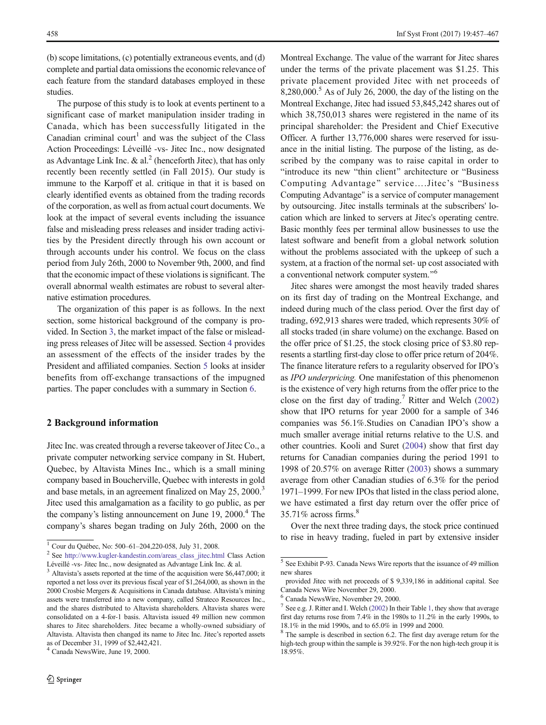(b) scope limitations, (c) potentially extraneous events, and (d) complete and partial data omissions the economic relevance of each feature from the standard databases employed in these studies.

The purpose of this study is to look at events pertinent to a significant case of market manipulation insider trading in Canada, which has been successfully litigated in the Canadian criminal court<sup>1</sup> and was the subject of the Class Action Proceedings: Léveillé -vs- Jitec Inc., now designated as Advantage Link Inc.  $\&$  al.<sup>2</sup> (henceforth Jitec), that has only recently been recently settled (in Fall 2015). Our study is immune to the Karpoff et al. critique in that it is based on clearly identified events as obtained from the trading records of the corporation, as well as from actual court documents. We look at the impact of several events including the issuance false and misleading press releases and insider trading activities by the President directly through his own account or through accounts under his control. We focus on the class period from July 26th, 2000 to November 9th, 2000, and find that the economic impact of these violations is significant. The overall abnormal wealth estimates are robust to several alternative estimation procedures.

The organization of this paper is as follows. In the next section, some historical background of the company is provided. In Section [3,](#page-3-0) the market impact of the false or misleading press releases of Jitec will be assessed. Section [4](#page-8-0) provides an assessment of the effects of the insider trades by the President and affiliated companies. Section [5](#page-9-0) looks at insider benefits from off-exchange transactions of the impugned parties. The paper concludes with a summary in Section [6](#page-10-0).

#### 2 Background information

Jitec Inc. was created through a reverse takeover of Jitec Co., a private computer networking service company in St. Hubert, Quebec, by Altavista Mines Inc., which is a small mining company based in Boucherville, Quebec with interests in gold and base metals, in an agreement finalized on May 25, 2000.<sup>3</sup> Jitec used this amalgamation as a facility to go public, as per the company's listing announcement on June  $19, 2000$ .<sup>4</sup> The company's shares began trading on July 26th, 2000 on the

Montreal Exchange. The value of the warrant for Jitec shares under the terms of the private placement was \$1.25. This private placement provided Jitec with net proceeds of  $8,280,000$ <sup>5</sup> As of July 26, 2000, the day of the listing on the Montreal Exchange, Jitec had issued 53,845,242 shares out of which 38,750,013 shares were registered in the name of its principal shareholder: the President and Chief Executive Officer. A further 13,776,000 shares were reserved for issuance in the initial listing. The purpose of the listing, as described by the company was to raise capital in order to "introduce its new "thin client" architecture or "Business" Computing Advantage" service....Jitec's "Business Computing Advantage" is a service of computer management by outsourcing. Jitec installs terminals at the subscribers' location which are linked to servers at Jitec's operating centre. Basic monthly fees per terminal allow businesses to use the latest software and benefit from a global network solution without the problems associated with the upkeep of such a system, at a fraction of the normal set- up cost associated with a conventional network computer system."<sup>6</sup>

Jitec shares were amongst the most heavily traded shares on its first day of trading on the Montreal Exchange, and indeed during much of the class period. Over the first day of trading, 692,913 shares were traded, which represents 30% of all stocks traded (in share volume) on the exchange. Based on the offer price of \$1.25, the stock closing price of \$3.80 represents a startling first-day close to offer price return of 204%. The finance literature refers to a regularity observed for IPO's as IPO underpricing. One manifestation of this phenomenon is the existence of very high returns from the offer price to the close on the first day of trading.7 Ritter and Welch [\(2002](#page-11-0)) show that IPO returns for year 2000 for a sample of 346 companies was 56.1%.Studies on Canadian IPO's show a much smaller average initial returns relative to the U.S. and other countries. Kooli and Suret [\(2004\)](#page-11-0) show that first day returns for Canadian companies during the period 1991 to 1998 of 20.57% on average Ritter [\(2003\)](#page-11-0) shows a summary average from other Canadian studies of 6.3% for the period 1971–1999. For new IPOs that listed in the class period alone, we have estimated a first day return over the offer price of  $35.71\%$  across firms.<sup>8</sup>

Over the next three trading days, the stock price continued

to rise in heavy trading, fueled in part by extensive insider  $\frac{1}{2}$  Cour du Québec, No: 500–61–204,220-058, July 31, 2008. Léveillé -vs- Jitec Inc., now designated as Advantage Link Inc. & al.

<sup>&</sup>lt;sup>3</sup> Altavista's assets reported at the time of the acquisition were \$6,447,000; it reported a net loss over its previous fiscal year of \$1,264,000, as shown in the 2000 Crosbie Mergers & Acquisitions in Canada database. Altavista's mining assets were transferred into a new company, called Strateco Resources Inc., and the shares distributed to Altavista shareholders. Altavista shares were consolidated on a 4-for-1 basis. Altavista issued 49 million new common shares to Jitec shareholders. Jitec became a wholly-owned subsidiary of Altavista. Altavista then changed its name to Jitec Inc. Jitec's reported assets as of December 31, 1999 of \$2,442,421.

<sup>4</sup> Canada NewsWire, June 19, 2000.

<sup>5</sup> See Exhibit P-93. Canada News Wire reports that the issuance of 49 million new shares

provided Jitec with net proceeds of \$ 9,339,186 in additional capital. See Canada News Wire November 29, 2000.

<sup>6</sup> Canada NewsWire, November 29, 2000.

 $7$  See e.g. J. Ritter and I. Welch [\(2002\)](#page-11-0) In their Table [1,](#page-4-0) they show that average first day returns rose from 7.4% in the 1980s to 11.2% in the early 1990s, to 18.1% in the mid 1990s, and to 65.0% in 1999 and 2000.

<sup>8</sup> The sample is described in section 6.2. The first day average return for the high-tech group within the sample is 39.92%. For the non high-tech group it is 18.95%.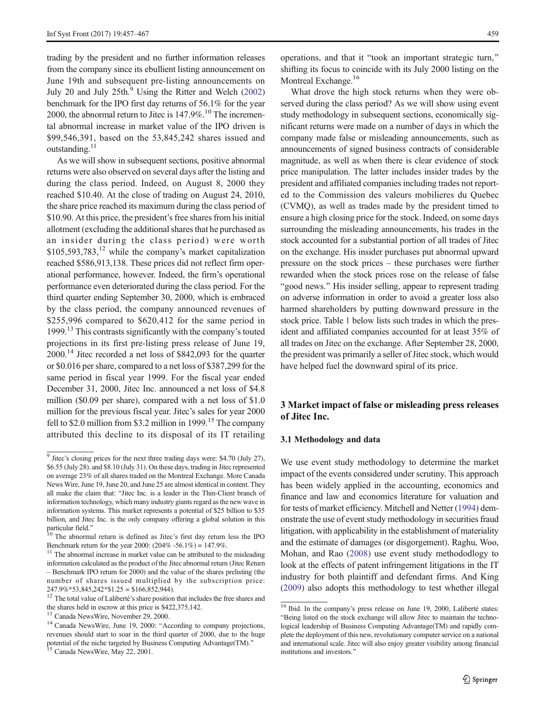<span id="page-3-0"></span>trading by the president and no further information releases from the company since its ebullient listing announcement on June 19th and subsequent pre-listing announcements on July 20 and July  $25th<sup>9</sup>$  Using the Ritter and Welch [\(2002\)](#page-11-0) benchmark for the IPO first day returns of 56.1% for the year 2000, the abnormal return to Jitec is  $147.9\%$ .<sup>10</sup> The incremental abnormal increase in market value of the IPO driven is \$99,546,391, based on the 53,845,242 shares issued and outstanding.<sup>11</sup>

As we will show in subsequent sections, positive abnormal returns were also observed on several days after the listing and during the class period. Indeed, on August 8, 2000 they reached \$10.40. At the close of trading on August 24, 2010, the share price reached its maximum during the class period of \$10.90. At this price, the president's free shares from his initial allotment (excluding the additional shares that he purchased as an insider during the class period) were worth  $$105,593,783<sup>12</sup>$  while the company's market capitalization reached \$586,913,138. These prices did not reflect firm operational performance, however. Indeed, the firm's operational performance even deteriorated during the class period. For the third quarter ending September 30, 2000, which is embraced by the class period, the company announced revenues of \$255,996 compared to \$620,412 for the same period in 1999.<sup>13</sup> This contrasts significantly with the company's touted projections in its first pre-listing press release of June 19, 2000.14 Jitec recorded a net loss of \$842,093 for the quarter or \$0.016 per share, compared to a net loss of \$387,299 for the same period in fiscal year 1999. For the fiscal year ended December 31, 2000, Jitec Inc. announced a net loss of \$4.8 million (\$0.09 per share), compared with a net loss of \$1.0 million for the previous fiscal year. Jitec's sales for year 2000 fell to \$2.0 million from \$3.2 million in 1999.<sup>15</sup> The company attributed this decline to its disposal of its IT retailing

operations, and that it "took an important strategic turn," shifting its focus to coincide with its July 2000 listing on the Montreal Exchange.<sup>16</sup>

What drove the high stock returns when they were observed during the class period? As we will show using event study methodology in subsequent sections, economically significant returns were made on a number of days in which the company made false or misleading announcements, such as announcements of signed business contracts of considerable magnitude, as well as when there is clear evidence of stock price manipulation. The latter includes insider trades by the president and affiliated companies including trades not reported to the Commission des valeurs mobilieres du Quebec (CVMQ), as well as trades made by the president timed to ensure a high closing price for the stock. Indeed, on some days surrounding the misleading announcements, his trades in the stock accounted for a substantial portion of all trades of Jitec on the exchange. His insider purchases put abnormal upward pressure on the stock prices – these purchases were further rewarded when the stock prices rose on the release of false "good news." His insider selling, appear to represent trading on adverse information in order to avoid a greater loss also harmed shareholders by putting downward pressure in the stock price. Table [1](#page-4-0) below lists such trades in which the president and affiliated companies accounted for at least 35% of all trades on Jitec on the exchange. After September 28, 2000, the president was primarily a seller of Jitec stock, which would have helped fuel the downward spiral of its price.

## 3 Market impact of false or misleading press releases of Jitec Inc.

#### 3.1 Methodology and data

We use event study methodology to determine the market impact of the events considered under scrutiny. This approach has been widely applied in the accounting, economics and finance and law and economics literature for valuation and for tests of market efficiency. Mitchell and Netter [\(1994](#page-11-0)) demonstrate the use of event study methodology in securities fraud litigation, with applicability in the establishment of materiality and the estimate of damages (or disgorgement). Raghu, Woo, Mohan, and Rao [\(2008](#page-11-0)) use event study methododlogy to look at the effects of patent infringement litigations in the IT industry for both plaintiff and defendant firms. And King [\(2009\)](#page-11-0) also adopts this methodology to test whether illegal

<sup>9</sup> Jitec's closing prices for the next three trading days were: \$4.70 (July 27), \$6.55 (July 28). and \$8.10 (July 31). On these days, trading in Jitec represented on average 23% of all shares traded on the Montreal Exchange. More Canada News Wire, June 19, June 20, and June 25 are almost identical in content. They all make the claim that: "Jitec Inc. is a leader in the Thin-Client branch of information technology, which many industry giants regard as the new wave in information systems. This market represents a potential of \$25 billion to \$35 billion, and Jitec Inc. is the only company offering a global solution in this particular field."<br> $\frac{10}{10}$  The abnormal rature is defined as  $\frac{10}{10}$ .

The abnormal return is defined as Jitec's first day return less the IPO Benchmark return for the year 2000: (204% -56.1%) = 147.9%.

 $11$  The abnormal increase in market value can be attributed to the misleading information calculated as the product of the Jitec abnormal return (Jitec Return – Benchmark IPO return for 2000) and the value of the shares prelisting (the number of shares issued multiplied by the subscription price:  $247.9\% * 53,845,242 * $1.25 = $166,852,944$ .

<sup>&</sup>lt;sup>12</sup> The total value of Laliberté's share position that includes the free shares and the shares held in escrow at this price is \$422,375,142.<br><sup>13</sup> Canada NewsWire, November 29, 2000.

<sup>&</sup>lt;sup>14</sup> Canada NewsWire, June 19, 2000: "According to company projections, revenues should start to soar in the third quarter of 2000, due to the huge potential of the niche targeted by Business Computing Advantage(TM).<sup>35</sup> Canada NewsWire, May 22, 2001.

<sup>&</sup>lt;sup>16</sup> Ibid. In the company's press release on June 19, 2000, Laliberté states: "Being listed on the stock exchange will allow Jitec to maintain the technological leadership of Business Computing Advantage(TM) and rapidly complete the deployment of this new, revolutionary computer service on a national and international scale. Jitec will also enjoy greater visibility among financial institutions and investors."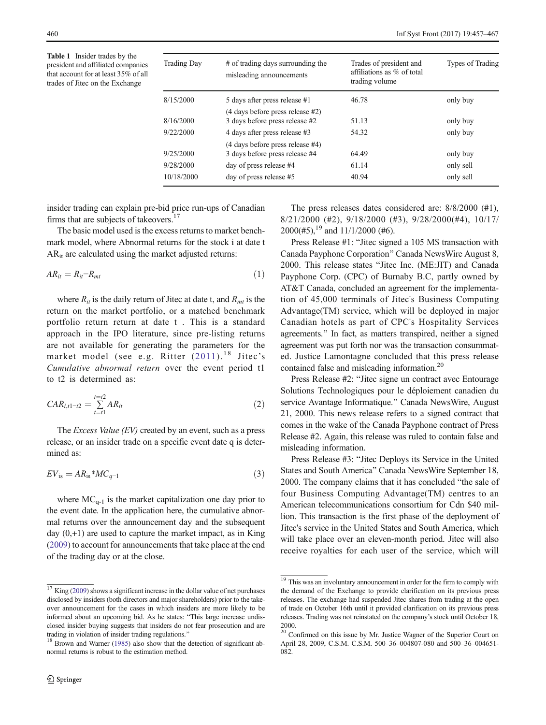<span id="page-4-0"></span>Table 1 Insider trades by the president and affiliated companies that account for at least 35% of all trades of Jitec on the Exchange

| <b>Trading Day</b> | # of trading days surrounding the<br>misleading announcements | Trades of president and<br>affiliations as % of total<br>trading volume | Types of Trading |  |
|--------------------|---------------------------------------------------------------|-------------------------------------------------------------------------|------------------|--|
| 8/15/2000          | 5 days after press release #1                                 | 46.78                                                                   | only buy         |  |
|                    | (4 days before press release #2)                              |                                                                         |                  |  |
| 8/16/2000          | 3 days before press release #2                                | 51.13                                                                   | only buy         |  |
| 9/22/2000          | 4 days after press release #3                                 | 54.32                                                                   | only buy         |  |
|                    | (4 days before press release #4)                              |                                                                         |                  |  |
| 9/25/2000          | 3 days before press release #4                                | 64.49                                                                   | only buy         |  |
| 9/28/2000          | day of press release #4                                       | 61.14                                                                   | only sell        |  |
| 10/18/2000         | day of press release #5                                       | 40.94                                                                   | only sell        |  |

insider trading can explain pre-bid price run-ups of Canadian firms that are subjects of takeovers.<sup>17</sup>

The basic model used is the excess returns to market benchmark model, where Abnormal returns for the stock i at date t AR<sub>it</sub> are calculated using the market adjusted returns:

$$
AR_{it} = R_{it} - R_{mt} \tag{1}
$$

where  $R_{it}$  is the daily return of Jitec at date t, and  $R_{mt}$  is the return on the market portfolio, or a matched benchmark portfolio return return at date t . This is a standard approach in the IPO literature, since pre-listing returns are not available for generating the parameters for the market model (see e.g. Ritter  $(2011).$  $(2011).$  $(2011).$ <sup>18</sup> Jitec's Cumulative abnormal return over the event period t1 to t2 is determined as:

$$
CAR_{i,t1-t2} = \sum_{t=t1}^{t=t2} AR_{it}
$$
 (2)

The *Excess Value*  $(EV)$  created by an event, such as a press release, or an insider trade on a specific event date q is determined as:

$$
EV_{\rm is} = AR_{\rm is} * MC_{q-1} \tag{3}
$$

where  $MC_{q-1}$  is the market capitalization one day prior to the event date. In the application here, the cumulative abnormal returns over the announcement day and the subsequent day  $(0, +1)$  are used to capture the market impact, as in King [\(2009\)](#page-11-0) to account for announcements that take place at the end of the trading day or at the close.

The press releases dates considered are: 8/8/2000 (#1), 8/21/2000 (#2), 9/18/2000 (#3), 9/28/2000(#4), 10/17/  $2000$ (#5),<sup>19</sup> and 11/1/2000 (#6).

Press Release #1: "Jitec signed a 105 M\$ transaction with Canada Payphone Corporation^ Canada NewsWire August 8, 2000. This release states "Jitec Inc. (ME:JIT) and Canada Payphone Corp. (CPC) of Burnaby B.C, partly owned by AT&T Canada, concluded an agreement for the implementation of 45,000 terminals of Jitec's Business Computing Advantage(TM) service, which will be deployed in major Canadian hotels as part of CPC's Hospitality Services agreements." In fact, as matters transpired, neither a signed agreement was put forth nor was the transaction consummated. Justice Lamontagne concluded that this press release contained false and misleading information.<sup>20</sup>

Press Release #2: "Jitec signe un contract avec Entourage Solutions Technologiques pour le déploiement canadien du service Avantage Informatique.^ Canada NewsWire, August 21, 2000. This news release refers to a signed contract that comes in the wake of the Canada Payphone contract of Press Release #2. Again, this release was ruled to contain false and misleading information.

Press Release #3: "Jitec Deploys its Service in the United States and South America^ Canada NewsWire September 18, 2000. The company claims that it has concluded "the sale of four Business Computing Advantage(TM) centres to an American telecommunications consortium for Cdn \$40 million. This transaction is the first phase of the deployment of Jitec's service in the United States and South America, which will take place over an eleven-month period. Jitec will also receive royalties for each user of the service, which will

 $17$  King [\(2009](#page-11-0)) shows a significant increase in the dollar value of net purchases disclosed by insiders (both directors and major shareholders) prior to the takeover announcement for the cases in which insiders are more likely to be informed about an upcoming bid. As he states: "This large increase undisclosed insider buying suggests that insiders do not fear prosecution and are trading in violation of insider trading regulations."<br><sup>18</sup> Brown and Warner [\(1985\)](#page-11-0) also show that the detection of significant ab-

normal returns is robust to the estimation method.

 $\frac{19}{19}$  This was an involuntary announcement in order for the firm to comply with the demand of the Exchange to provide clarification on its previous press releases. The exchange had suspended Jitec shares from trading at the open of trade on October 16th until it provided clarification on its previous press releases. Trading was not reinstated on the company's stock until October 18, 2000.

<sup>&</sup>lt;sup>20</sup> Confirmed on this issue by Mr. Justice Wagner of the Superior Court on April 28, 2009, C.S.M. C.S.M. 500–36–004807-080 and 500–36–004651- 082.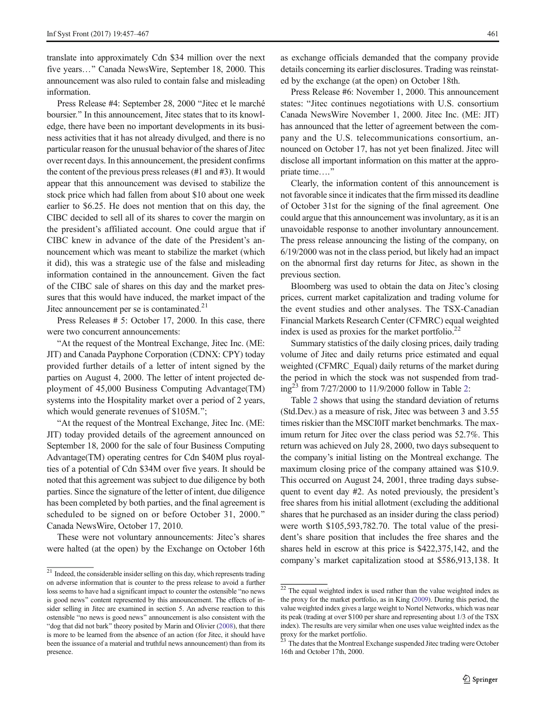translate into approximately Cdn \$34 million over the next five years..." Canada NewsWire, September 18, 2000. This announcement was also ruled to contain false and misleading information.

Press Release #4: September 28, 2000 "Jitec et le marché boursier." In this announcement, Jitec states that to its knowledge, there have been no important developments in its business activities that it has not already divulged, and there is no particular reason for the unusual behavior of the shares of Jitec over recent days. In this announcement, the president confirms the content of the previous press releases (#1 and #3). It would appear that this announcement was devised to stabilize the stock price which had fallen from about \$10 about one week earlier to \$6.25. He does not mention that on this day, the CIBC decided to sell all of its shares to cover the margin on the president's affiliated account. One could argue that if CIBC knew in advance of the date of the President's announcement which was meant to stabilize the market (which it did), this was a strategic use of the false and misleading information contained in the announcement. Given the fact of the CIBC sale of shares on this day and the market pressures that this would have induced, the market impact of the Jitec announcement per se is contaminated.<sup>21</sup>

Press Releases # 5: October 17, 2000. In this case, there were two concurrent announcements:

"At the request of the Montreal Exchange, Jitec Inc. (ME: JIT) and Canada Payphone Corporation (CDNX: CPY) today provided further details of a letter of intent signed by the parties on August 4, 2000. The letter of intent projected deployment of 45,000 Business Computing Advantage(TM) systems into the Hospitality market over a period of 2 years, which would generate revenues of \$105M.";

"At the request of the Montreal Exchange, Jitec Inc. (ME: JIT) today provided details of the agreement announced on September 18, 2000 for the sale of four Business Computing Advantage(TM) operating centres for Cdn \$40M plus royalties of a potential of Cdn \$34M over five years. It should be noted that this agreement was subject to due diligence by both parties. Since the signature of the letter of intent, due diligence has been completed by both parties, and the final agreement is scheduled to be signed on or before October 31, 2000." Canada NewsWire, October 17, 2010.

These were not voluntary announcements: Jitec's shares were halted (at the open) by the Exchange on October 16th

as exchange officials demanded that the company provide details concerning its earlier disclosures. Trading was reinstated by the exchange (at the open) on October 18th.

Press Release #6: November 1, 2000. This announcement states: "Jitec continues negotiations with U.S. consortium Canada NewsWire November 1, 2000. Jitec Inc. (ME: JIT) has announced that the letter of agreement between the company and the U.S. telecommunications consortium, announced on October 17, has not yet been finalized. Jitec will disclose all important information on this matter at the appropriate time...."

Clearly, the information content of this announcement is not favorable since it indicates that the firm missed its deadline of October 31st for the signing of the final agreement. One could argue that this announcement was involuntary, as it is an unavoidable response to another involuntary announcement. The press release announcing the listing of the company, on 6/19/2000 was not in the class period, but likely had an impact on the abnormal first day returns for Jitec, as shown in the previous section.

Bloomberg was used to obtain the data on Jitec's closing prices, current market capitalization and trading volume for the event studies and other analyses. The TSX-Canadian Financial Markets Research Center (CFMRC) equal weighted index is used as proxies for the market portfolio.<sup>22</sup>

Summary statistics of the daily closing prices, daily trading volume of Jitec and daily returns price estimated and equal weighted (CFMRC\_Equal) daily returns of the market during the period in which the stock was not suspended from trad- $ing^{23}$  $ing^{23}$  $ing^{23}$  from 7/27/2000 to 11/9/2000 follow in Table 2:

Table [2](#page-6-0) shows that using the standard deviation of returns (Std.Dev.) as a measure of risk, Jitec was between 3 and 3.55 times riskier than the MSCI0IT market benchmarks. The maximum return for Jitec over the class period was 52.7%. This return was achieved on July 28, 2000, two days subsequent to the company's initial listing on the Montreal exchange. The maximum closing price of the company attained was \$10.9. This occurred on August 24, 2001, three trading days subsequent to event day #2. As noted previously, the president's free shares from his initial allotment (excluding the additional shares that he purchased as an insider during the class period) were worth \$105,593,782.70. The total value of the president's share position that includes the free shares and the shares held in escrow at this price is \$422,375,142, and the company's market capitalization stood at \$586,913,138. It

<sup>&</sup>lt;sup>21</sup> Indeed, the considerable insider selling on this day, which represents trading on adverse information that is counter to the press release to avoid a further loss seems to have had a significant impact to counter the ostensible "no news is good news" content represented by this announcement. The effects of insider selling in Jitec are examined in section 5. An adverse reaction to this ostensible "no news is good news" announcement is also consistent with the "dog that did not bark" theory posited by Marin and Olivier ([2008](#page-11-0)), that there is more to be learned from the absence of an action (for Jitec, it should have been the issuance of a material and truthful news announcement) than from its presence.

<sup>&</sup>lt;sup>22</sup> The equal weighted index is used rather than the value weighted index as the proxy for the market portfolio, as in King ([2009](#page-11-0)). During this period, the value weighted index gives a large weight to Nortel Networks, which was near its peak (trading at over \$100 per share and representing about 1/3 of the TSX index). The results are very similar when one uses value weighted index as the proxy for the market portfolio.<br><sup>23</sup> The dates that the Montreal Exchange suspended Jitec trading were October

<sup>16</sup>th and October 17th, 2000.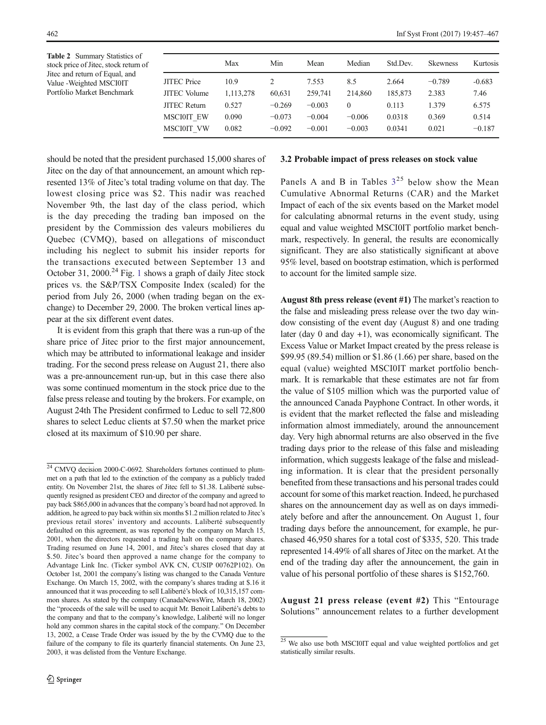<span id="page-6-0"></span>Table 2 Summary Statistics of stock price of Jitec, stock return of Jitec and return of Equal, and Value -Weighted MSCI0IT Portfolio Market Benchmark

|                     | Max       | Min      | Mean     | Median   | Std.Dev. | <b>Skewness</b> | Kurtosis |
|---------------------|-----------|----------|----------|----------|----------|-----------------|----------|
| <b>JITEC</b> Price  | 10.9      | 2        | 7.553    | 8.5      | 2.664    | $-0.789$        | $-0.683$ |
| <b>JITEC</b> Volume | 1,113,278 | 60,631   | 259,741  | 214,860  | 185,873  | 2.383           | 7.46     |
| <b>JITEC Return</b> | 0.527     | $-0.269$ | $-0.003$ | $\theta$ | 0.113    | 1.379           | 6.575    |
| <b>MSCI0IT EW</b>   | 0.090     | $-0.073$ | $-0.004$ | $-0.006$ | 0.0318   | 0.369           | 0.514    |
| MSCI0IT VW          | 0.082     | $-0.092$ | $-0.001$ | $-0.003$ | 0.0341   | 0.021           | $-0.187$ |

should be noted that the president purchased 15,000 shares of Jitec on the day of that announcement, an amount which represented 13% of Jitec's total trading volume on that day. The lowest closing price was \$2. This nadir was reached November 9th, the last day of the class period, which is the day preceding the trading ban imposed on the president by the Commission des valeurs mobilieres du Quebec (CVMQ), based on allegations of misconduct including his neglect to submit his insider reports for the transactions executed between September 13 and October 3[1](#page-7-0), 2000.<sup>24</sup> Fig. 1 shows a graph of daily Jitec stock prices vs. the S&P/TSX Composite Index (scaled) for the period from July 26, 2000 (when trading began on the exchange) to December 29, 2000. The broken vertical lines appear at the six different event dates.

It is evident from this graph that there was a run-up of the share price of Jitec prior to the first major announcement, which may be attributed to informational leakage and insider trading. For the second press release on August 21, there also was a pre-announcement run-up, but in this case there also was some continued momentum in the stock price due to the false press release and touting by the brokers. For example, on August 24th The President confirmed to Leduc to sell 72,800 shares to select Leduc clients at \$7.50 when the market price closed at its maximum of \$10.90 per share.

# 3.2 Probable impact of press releases on stock value

Panels A and B in Tables  $3^{25}$  $3^{25}$  below show the Mean Cumulative Abnormal Returns (CAR) and the Market Impact of each of the six events based on the Market model for calculating abnormal returns in the event study, using equal and value weighted MSCI0IT portfolio market benchmark, respectively. In general, the results are economically significant. They are also statistically significant at above 95% level, based on bootstrap estimation, which is performed to account for the limited sample size.

August 8th press release (event #1) The market's reaction to the false and misleading press release over the two day window consisting of the event day (August 8) and one trading later (day 0 and day +1), was economically significant. The Excess Value or Market Impact created by the press release is \$99.95 (89.54) million or \$1.86 (1.66) per share, based on the equal (value) weighted MSCI0IT market portfolio benchmark. It is remarkable that these estimates are not far from the value of \$105 million which was the purported value of the announced Canada Payphone Contract. In other words, it is evident that the market reflected the false and misleading information almost immediately, around the announcement day. Very high abnormal returns are also observed in the five trading days prior to the release of this false and misleading information, which suggests leakage of the false and misleading information. It is clear that the president personally benefited from these transactions and his personal trades could account for some of this market reaction. Indeed, he purchased shares on the announcement day as well as on days immediately before and after the announcement. On August 1, four trading days before the announcement, for example, he purchased 46,950 shares for a total cost of \$335, 520. This trade represented 14.49% of all shares of Jitec on the market. At the end of the trading day after the announcement, the gain in value of his personal portfolio of these shares is \$152,760.

August 21 press release (event  $#2$ ) This "Entourage Solutions" announcement relates to a further development

 $\frac{24 \text{ CMVO}}{24 \text{ CMVO}}$  decision 2000-C-0692. Shareholders fortunes continued to plummet on a path that led to the extinction of the company as a publicly traded entity. On November 21st, the shares of Jitec fell to \$1.38. Laliberté subsequently resigned as president CEO and director of the company and agreed to pay back \$865,000 in advances that the company's board had not approved. In addition, he agreed to pay back within six months \$1.2 million related to Jitec's previous retail stores' inventory and accounts. Laliberté subsequently defaulted on this agreement, as was reported by the company on March 15, 2001, when the directors requested a trading halt on the company shares. Trading resumed on June 14, 2001, and Jitec's shares closed that day at \$.50. Jitec's board then approved a name change for the company to Advantage Link Inc. (Ticker symbol AVK CN, CUSIP 00762P102). On October 1st, 2001 the company's listing was changed to the Canada Venture Exchange. On March 15, 2002, with the company's shares trading at \$.16 it announced that it was proceeding to sell Laliberté's block of 10,315,157 common shares. As stated by the company (CanadaNewsWire, March 18, 2002) the "proceeds of the sale will be used to acquit Mr. Benoit Laliberté's debts to the company and that to the company's knowledge, Laliberté will no longer hold any common shares in the capital stock of the company." On December 13, 2002, a Cease Trade Order was issued by the by the CVMQ due to the failure of the company to file its quarterly financial statements. On June 23, 2003, it was delisted from the Venture Exchange.

 $25$  We also use both MSCI0IT equal and value weighted portfolios and get statistically similar results.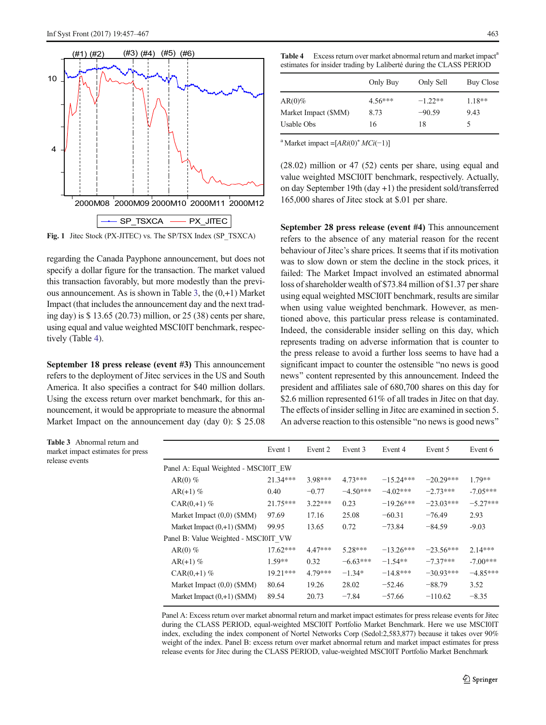<span id="page-7-0"></span>

Fig. 1 Jitec Stock (PX-JITEC) vs. The SP/TSX Index (SP\_TSXCA)

regarding the Canada Payphone announcement, but does not specify a dollar figure for the transaction. The market valued this transaction favorably, but more modestly than the previous announcement. As is shown in Table 3, the (0,+1) Market Impact (that includes the announcement day and the next trading day) is \$ 13.65 (20.73) million, or 25 (38) cents per share, using equal and value weighted MSCI0IT benchmark, respectively (Table 4).

September 18 press release (event #3) This announcement refers to the deployment of Jitec services in the US and South America. It also specifies a contract for \$40 million dollars. Using the excess return over market benchmark, for this announcement, it would be appropriate to measure the abnormal Market Impact on the announcement day (day 0): \$ 25.08 Table 4 Excess return over market abnormal return and market impact<sup>a</sup>

| estimates for insider trading by Laliberté during the CLASS PERIOD |           |           |                  |  |
|--------------------------------------------------------------------|-----------|-----------|------------------|--|
|                                                                    | Only Buy  | Only Sell | <b>Buy Close</b> |  |
| $AR(0)\%$                                                          | $4.56***$ | $-1.22**$ | $1.18**$         |  |
| Market Impact (\$MM)                                               | 8.73      | $-90.59$  | 9.43             |  |
| Usable Obs                                                         | 16        | 18        | ৲                |  |

<sup>a</sup> Market impact =[ $ARi(0)$ <sup>\*</sup>  $MCi(-1)$ ]

(28.02) million or 47 (52) cents per share, using equal and value weighted MSCI0IT benchmark, respectively. Actually, on day September 19th (day +1) the president sold/transferred 165,000 shares of Jitec stock at \$.01 per share.

September 28 press release (event #4) This announcement refers to the absence of any material reason for the recent behaviour of Jitec's share prices. It seems that if its motivation was to slow down or stem the decline in the stock prices, it failed: The Market Impact involved an estimated abnormal loss of shareholder wealth of \$73.84 million of \$1.37 per share using equal weighted MSCI0IT benchmark, results are similar when using value weighted benchmark. However, as mentioned above, this particular press release is contaminated. Indeed, the considerable insider selling on this day, which represents trading on adverse information that is counter to the press release to avoid a further loss seems to have had a significant impact to counter the ostensible "no news is good news" content represented by this announcement. Indeed the president and affiliates sale of 680,700 shares on this day for \$2.6 million represented 61% of all trades in Jitec on that day. The effects of insider selling in Jitec are examined in section 5. An adverse reaction to this ostensible "no news is good news"

Table 3 Abnormal return and market impact estimates for press release events

| Event 1                              | Event 2   | Event 3    | Event 4     | Event 5     | Event 6    |
|--------------------------------------|-----------|------------|-------------|-------------|------------|
| Panel A: Equal Weighted - MSCI0IT EW |           |            |             |             |            |
| $21.34***$                           | $3.98***$ | $4.73***$  | $-15.24***$ | $-20.29***$ | $1.79**$   |
| 0.40                                 | $-0.77$   | $-4.50***$ | $-4.02***$  | $-2.73***$  | $-7.05***$ |
| $21.75***$                           | $3.22***$ | 0.23       | $-19.26***$ | $-23.03***$ | $-5.27***$ |
| 97.69                                | 17.16     | 25.08      | $-60.31$    | $-76.49$    | 2.93       |
| 99.95                                | 13.65     | 0.72       | $-73.84$    | $-84.59$    | $-9.03$    |
| Panel B: Value Weighted - MSCI0IT VW |           |            |             |             |            |
| $17.62***$                           | $4.47***$ | $5.28***$  | $-13.26***$ | $-23.56***$ | $2.14***$  |
| $1.59**$                             | 0.32      | $-6.63***$ | $-1.54**$   | $-7.37***$  | $-7.00***$ |
| $19.21***$                           | $4.79***$ | $-1.34*$   | $-14.8***$  | $-30.93***$ | $-4.85***$ |
| 80.64                                | 19.26     | 28.02      | $-52.46$    | $-88.79$    | 3.52       |
| 89.54                                | 20.73     | $-7.84$    | $-57.66$    | $-110.62$   | $-8.35$    |
|                                      |           |            |             |             |            |

Panel A: Excess return over market abnormal return and market impact estimates for press release events for Jitec during the CLASS PERIOD, equal-weighted MSCI0IT Portfolio Market Benchmark. Here we use MSCI0IT index, excluding the index component of Nortel Networks Corp (Sedol:2,583,877) because it takes over 90% weight of the index. Panel B: excess return over market abnormal return and market impact estimates for press release events for Jitec during the CLASS PERIOD, value-weighted MSCI0IT Portfolio Market Benchmark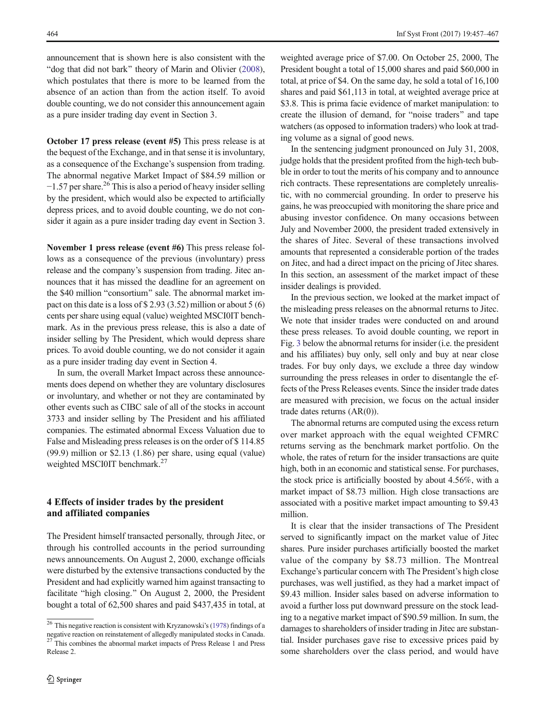<span id="page-8-0"></span>announcement that is shown here is also consistent with the "dog that did not bark" theory of Marin and Olivier [\(2008\)](#page-11-0), which postulates that there is more to be learned from the absence of an action than from the action itself. To avoid double counting, we do not consider this announcement again as a pure insider trading day event in Section 3.

October 17 press release (event #5) This press release is at the bequest of the Exchange, and in that sense it is involuntary, as a consequence of the Exchange's suspension from trading. The abnormal negative Market Impact of \$84.59 million or  $-1.57$  per share.<sup>26</sup> This is also a period of heavy insider selling by the president, which would also be expected to artificially depress prices, and to avoid double counting, we do not consider it again as a pure insider trading day event in Section 3.

November 1 press release (event #6) This press release follows as a consequence of the previous (involuntary) press release and the company's suspension from trading. Jitec announces that it has missed the deadline for an agreement on the \$40 million "consortium" sale. The abnormal market impact on this date is a loss of \$ 2.93 (3.52) million or about 5 (6) cents per share using equal (value) weighted MSCI0IT benchmark. As in the previous press release, this is also a date of insider selling by The President, which would depress share prices. To avoid double counting, we do not consider it again as a pure insider trading day event in Section 4.

In sum, the overall Market Impact across these announcements does depend on whether they are voluntary disclosures or involuntary, and whether or not they are contaminated by other events such as CIBC sale of all of the stocks in account 3733 and insider selling by The President and his affiliated companies. The estimated abnormal Excess Valuation due to False and Misleading press releases is on the order of \$114.85 (99.9) million or \$2.13 (1.86) per share, using equal (value) weighted MSCI0IT benchmark.<sup>27</sup>

#### 4 Effects of insider trades by the president and affiliated companies

The President himself transacted personally, through Jitec, or through his controlled accounts in the period surrounding news announcements. On August 2, 2000, exchange officials were disturbed by the extensive transactions conducted by the President and had explicitly warned him against transacting to facilitate "high closing." On August 2, 2000, the President bought a total of 62,500 shares and paid \$437,435 in total, at

weighted average price of \$7.00. On October 25, 2000, The President bought a total of 15,000 shares and paid \$60,000 in total, at price of \$4. On the same day, he sold a total of 16,100 shares and paid \$61,113 in total, at weighted average price at \$3.8. This is prima facie evidence of market manipulation: to create the illusion of demand, for "noise traders" and tape watchers (as opposed to information traders) who look at trading volume as a signal of good news.

In the sentencing judgment pronounced on July 31, 2008, judge holds that the president profited from the high-tech bubble in order to tout the merits of his company and to announce rich contracts. These representations are completely unrealistic, with no commercial grounding. In order to preserve his gains, he was preoccupied with monitoring the share price and abusing investor confidence. On many occasions between July and November 2000, the president traded extensively in the shares of Jitec. Several of these transactions involved amounts that represented a considerable portion of the trades on Jitec, and had a direct impact on the pricing of Jitec shares. In this section, an assessment of the market impact of these insider dealings is provided.

In the previous section, we looked at the market impact of the misleading press releases on the abnormal returns to Jitec. We note that insider trades were conducted on and around these press releases. To avoid double counting, we report in Fig. [3](#page-10-0) below the abnormal returns for insider (i.e. the president and his affiliates) buy only, sell only and buy at near close trades. For buy only days, we exclude a three day window surrounding the press releases in order to disentangle the effects of the Press Releases events. Since the insider trade dates are measured with precision, we focus on the actual insider trade dates returns (AR(0)).

The abnormal returns are computed using the excess return over market approach with the equal weighted CFMRC returns serving as the benchmark market portfolio. On the whole, the rates of return for the insider transactions are quite high, both in an economic and statistical sense. For purchases, the stock price is artificially boosted by about 4.56%, with a market impact of \$8.73 million. High close transactions are associated with a positive market impact amounting to \$9.43 million.

It is clear that the insider transactions of The President served to significantly impact on the market value of Jitec shares. Pure insider purchases artificially boosted the market value of the company by \$8.73 million. The Montreal Exchange's particular concern with The President's high close purchases, was well justified, as they had a market impact of \$9.43 million. Insider sales based on adverse information to avoid a further loss put downward pressure on the stock leading to a negative market impact of \$90.59 million. In sum, the damages to shareholders of insider trading in Jitec are substantial. Insider purchases gave rise to excessive prices paid by some shareholders over the class period, and would have

 $\frac{26}{26}$  This negative reaction is consistent with Kryzanowski's ([1978](#page-11-0)) findings of a negative reaction on reinstatement of allegedly manipulated stocks in Canada. <sup>27</sup> This combines the abnormal market impacts of Press Release 1 and Press Release 2.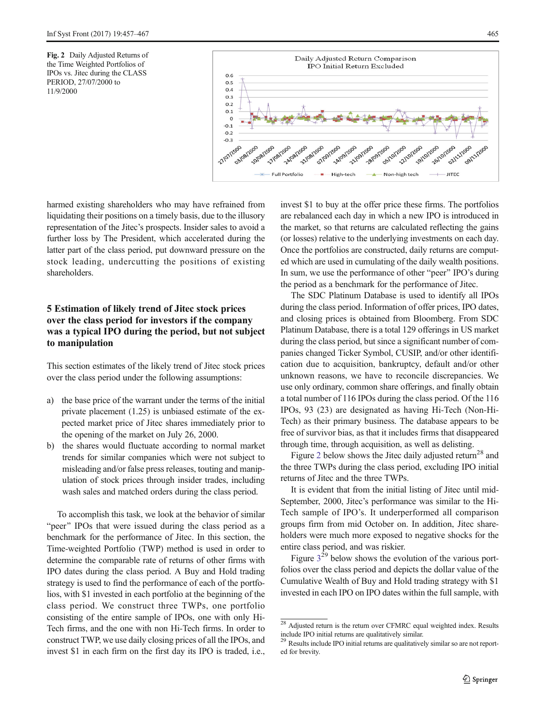<span id="page-9-0"></span>Fig. 2 Daily Adjusted Returns of the Time Weighted Portfolios of IPOs vs. Jitec during the CLASS PERIOD, 27/07/2000 to 11/9/2000



harmed existing shareholders who may have refrained from liquidating their positions on a timely basis, due to the illusory representation of the Jitec's prospects. Insider sales to avoid a further loss by The President, which accelerated during the latter part of the class period, put downward pressure on the stock leading, undercutting the positions of existing shareholders.

## 5 Estimation of likely trend of Jitec stock prices over the class period for investors if the company was a typical IPO during the period, but not subject to manipulation

This section estimates of the likely trend of Jitec stock prices over the class period under the following assumptions:

- a) the base price of the warrant under the terms of the initial private placement (1.25) is unbiased estimate of the expected market price of Jitec shares immediately prior to the opening of the market on July 26, 2000.
- b) the shares would fluctuate according to normal market trends for similar companies which were not subject to misleading and/or false press releases, touting and manipulation of stock prices through insider trades, including wash sales and matched orders during the class period.

To accomplish this task, we look at the behavior of similar "peer" IPOs that were issued during the class period as a benchmark for the performance of Jitec. In this section, the Time-weighted Portfolio (TWP) method is used in order to determine the comparable rate of returns of other firms with IPO dates during the class period. A Buy and Hold trading strategy is used to find the performance of each of the portfolios, with \$1 invested in each portfolio at the beginning of the class period. We construct three TWPs, one portfolio consisting of the entire sample of IPOs, one with only Hi-Tech firms, and the one with non Hi-Tech firms. In order to construct TWP, we use daily closing prices of all the IPOs, and invest \$1 in each firm on the first day its IPO is traded, i.e., invest \$1 to buy at the offer price these firms. The portfolios are rebalanced each day in which a new IPO is introduced in the market, so that returns are calculated reflecting the gains (or losses) relative to the underlying investments on each day. Once the portfolios are constructed, daily returns are computed which are used in cumulating of the daily wealth positions. In sum, we use the performance of other "peer" IPO's during the period as a benchmark for the performance of Jitec.

The SDC Platinum Database is used to identify all IPOs during the class period. Information of offer prices, IPO dates, and closing prices is obtained from Bloomberg. From SDC Platinum Database, there is a total 129 offerings in US market during the class period, but since a significant number of companies changed Ticker Symbol, CUSIP, and/or other identification due to acquisition, bankruptcy, default and/or other unknown reasons, we have to reconcile discrepancies. We use only ordinary, common share offerings, and finally obtain a total number of 116 IPOs during the class period. Of the 116 IPOs, 93 (23) are designated as having Hi-Tech (Non-Hi-Tech) as their primary business. The database appears to be free of survivor bias, as that it includes firms that disappeared through time, through acquisition, as well as delisting.

Figure 2 below shows the Jitec daily adjusted return<sup>28</sup> and the three TWPs during the class period, excluding IPO initial returns of Jitec and the three TWPs.

It is evident that from the initial listing of Jitec until mid-September, 2000, Jitec's performance was similar to the Hi-Tech sample of IPO's. It underperformed all comparison groups firm from mid October on. In addition, Jitec shareholders were much more exposed to negative shocks for the entire class period, and was riskier.

Figure  $3^{29}$  $3^{29}$  below shows the evolution of the various portfolios over the class period and depicts the dollar value of the Cumulative Wealth of Buy and Hold trading strategy with \$1 invested in each IPO on IPO dates within the full sample, with

 $28$  Adjusted return is the return over CFMRC equal weighted index. Results include IPO initial returns are qualitatively similar.

<sup>&</sup>lt;sup>29</sup> Results include IPO initial returns are qualitatively similar so are not reported for brevity.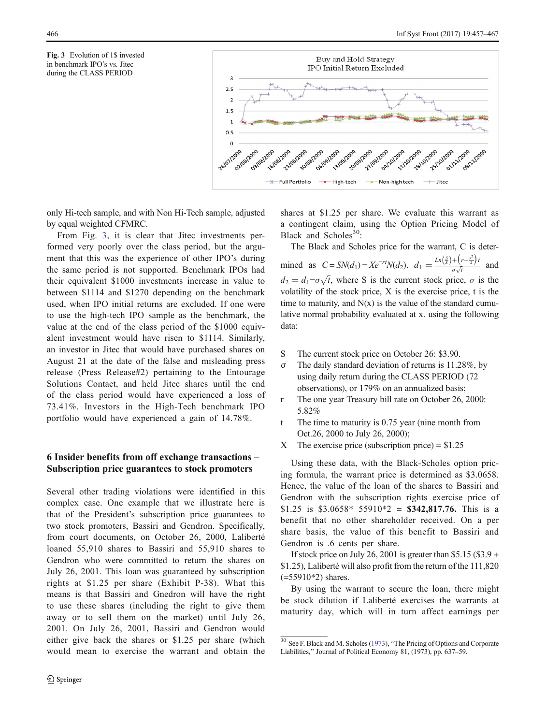<span id="page-10-0"></span>



only Hi-tech sample, and with Non Hi-Tech sample, adjusted by equal weighted CFMRC.

From Fig. 3, it is clear that Jitec investments performed very poorly over the class period, but the argument that this was the experience of other IPO's during the same period is not supported. Benchmark IPOs had their equivalent \$1000 investments increase in value to between \$1114 and \$1270 depending on the benchmark used, when IPO initial returns are excluded. If one were to use the high-tech IPO sample as the benchmark, the value at the end of the class period of the \$1000 equivalent investment would have risen to \$1114. Similarly, an investor in Jitec that would have purchased shares on August 21 at the date of the false and misleading press release (Press Release#2) pertaining to the Entourage Solutions Contact, and held Jitec shares until the end of the class period would have experienced a loss of 73.41%. Investors in the High-Tech benchmark IPO portfolio would have experienced a gain of 14.78%.

# 6 Insider benefits from off exchange transactions – Subscription price guarantees to stock promoters

Several other trading violations were identified in this complex case. One example that we illustrate here is that of the President's subscription price guarantees to two stock promoters, Bassiri and Gendron. Specifically, from court documents, on October 26, 2000, Laliberté loaned 55,910 shares to Bassiri and 55,910 shares to Gendron who were committed to return the shares on July 26, 2001. This loan was guaranteed by subscription rights at \$1.25 per share (Exhibit P-38). What this means is that Bassiri and Gnedron will have the right to use these shares (including the right to give them away or to sell them on the market) until July 26, 2001. On July 26, 2001, Bassiri and Gendron would either give back the shares or \$1.25 per share (which would mean to exercise the warrant and obtain the shares at \$1.25 per share. We evaluate this warrant as a contingent claim, using the Option Pricing Model of Black and Scholes $30$ :

The Black and Scholes price for the warrant, C is determined as  $C = SN(d_1) - Xe^{-rt}N(d_2)$ .  $d_1 = \frac{Ln(\frac{S}{X}) + (r + \frac{\sigma^2}{2})}{\sigma\sqrt{t}}$  $\frac{(\gamma + 2)^k}{\sigma \sqrt{t}}$  and  $d_2 = d_1 - \sigma \sqrt{t}$ , where S is the current stock price,  $\sigma$  is the volatility of the stock price, X is the exercise price, t is the time to maturity, and  $N(x)$  is the value of the standard cumulative normal probability evaluated at x. using the following data:

- S The current stock price on October 26: \$3.90.
- σ The daily standard deviation of returns is 11.28%, by using daily return during the CLASS PERIOD (72 observations), or 179% on an annualized basis;
- r The one year Treasury bill rate on October 26, 2000: 5.82%
- t The time to maturity is 0.75 year (nine month from Oct.26, 2000 to July 26, 2000);
- X The exercise price (subscription price) =  $$1.25$

Using these data, with the Black-Scholes option pricing formula, the warrant price is determined as \$3.0658. Hence, the value of the loan of the shares to Bassiri and Gendron with the subscription rights exercise price of \$1.25 is \$3.0658\* 55910\*2 = \$342,817.76. This is a benefit that no other shareholder received. On a per share basis, the value of this benefit to Bassiri and Gendron is .6 cents per share.

If stock price on July 26, 2001 is greater than  $$5.15$  (\$3.9 + \$1.25), Laliberté will also profit from the return of the 111,820  $(=55910*2)$  shares.

By using the warrant to secure the loan, there might be stock dilution if Laliberté exercises the warrants at maturity day, which will in turn affect earnings per

 $30$  See F. Black and M. Scholes [\(1973](#page-11-0)), "The Pricing of Options and Corporate Liabilities," Journal of Political Economy 81, (1973), pp. 637–59.